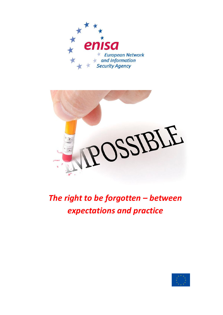



*The right to be forgotten – between expectations and practice*

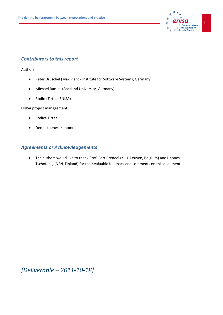

### *Contributors to this report*

Authors:

- Peter Druschel (Max Planck Institute for Software Systems, Germany)
- Michael Backes (Saarland University, Germany)
- Rodica Tirtea (ENISA)

ENISA project management:

- Rodica Tirtea
- Demosthenes Ikonomou

### *Agreements or Acknowledgements*

 The authors would like to thank Prof. Bart Preneel (K. U. Leuven, Belgium) and Hannes Tschofenig (NSN, Finland) for their valuable feedback and comments on this document.

*[Deliverable – 2011-10-18]*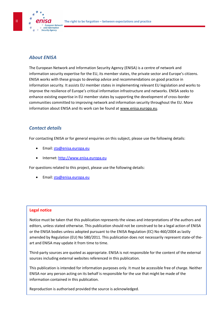

## *About ENISA*

The European Network and Information Security Agency (ENISA) is a centre of network and information security expertise for the EU, its member states, the private sector and Europe's citizens. ENISA works with these groups to develop advice and recommendations on good practice in information security. It assists EU member states in implementing relevant EU legislation and works to improve the resilience of Europe's critical information infrastructure and networks. ENISA seeks to enhance existing expertise in EU member states by supporting the development of cross-border communities committed to improving network and information security throughout the EU. More information about ENISA and its work can be found at [www.enisa.europa.eu.](http://www.enisa.europa.eu/)

### *Contact details*

For contacting ENISA or for general enquiries on this subject, please use the following details:

- Email[: sta@enisa.europa.eu](mailto:sta@enisa.europa.eu)
- Internet[: http://www.enisa.europa.eu](http://www.enisa.europa.eu/act/cert/)

For questions related to this project, please use the following details:

Email[: sta@enisa.europa.eu](mailto:sta@enisa.europa.eu)

#### **Legal notice**

Notice must be taken that this publication represents the views and interpretations of the authors and editors, unless stated otherwise. This publication should not be construed to be a legal action of ENISA or the ENISA bodies unless adopted pursuant to the ENISA Regulation (EC) No 460/2004 as lastly amended by Regulation (EU) No 580/2011. This publication does not necessarily represent state-of theart and ENISA may update it from time to time.

Third-party sources are quoted as appropriate. ENISA is not responsible for the content of the external sources including external websites referenced in this publication.

This publication is intended for information purposes only. It must be accessible free of charge. Neither ENISA nor any person acting on its behalf is responsible for the use that might be made of the information contained in this publication.

Reproduction is authorised provided the source is acknowledged.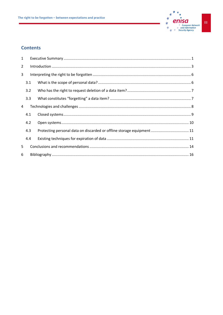

### **Contents**

| $\mathbf{1}$   |                                                                                                                                                                                                                                                                                                                                                                                                                                                                  |                                                                        |  |  |
|----------------|------------------------------------------------------------------------------------------------------------------------------------------------------------------------------------------------------------------------------------------------------------------------------------------------------------------------------------------------------------------------------------------------------------------------------------------------------------------|------------------------------------------------------------------------|--|--|
| $\overline{2}$ | $\label{lem:1} \mbox{Introduction} \,\, \ldots \,\, \ldots \,\, \ldots \,\, \ldots \,\, \ldots \,\, \ldots \,\, \ldots \,\, \ldots \,\, \ldots \,\, \ldots \,\, \ldots \,\, \ldots \,\, \ldots \,\, \ldots \,\, \ldots \,\, \ldots \,\, \ldots \,\, \ldots \,\, \ldots \,\, \ldots \,\, \ldots \,\, \ldots \,\, \ldots \,\, \ldots \,\, \ldots \,\, \ldots \,\, \ldots \,\, \ldots \,\, \ldots \,\, \ldots \,\, \ldots \,\, \ldots \,\, \ldots \,\, \ldots \,\,$ |                                                                        |  |  |
| 3              |                                                                                                                                                                                                                                                                                                                                                                                                                                                                  |                                                                        |  |  |
|                | 3.1                                                                                                                                                                                                                                                                                                                                                                                                                                                              |                                                                        |  |  |
|                | 3.2                                                                                                                                                                                                                                                                                                                                                                                                                                                              |                                                                        |  |  |
|                | 3.3                                                                                                                                                                                                                                                                                                                                                                                                                                                              |                                                                        |  |  |
| 4              |                                                                                                                                                                                                                                                                                                                                                                                                                                                                  |                                                                        |  |  |
|                | 4.1                                                                                                                                                                                                                                                                                                                                                                                                                                                              |                                                                        |  |  |
|                | 4.2                                                                                                                                                                                                                                                                                                                                                                                                                                                              |                                                                        |  |  |
|                | 4.3                                                                                                                                                                                                                                                                                                                                                                                                                                                              | Protecting personal data on discarded or offline storage equipment  11 |  |  |
|                | 4.4                                                                                                                                                                                                                                                                                                                                                                                                                                                              |                                                                        |  |  |
| 5              |                                                                                                                                                                                                                                                                                                                                                                                                                                                                  |                                                                        |  |  |
| 6              |                                                                                                                                                                                                                                                                                                                                                                                                                                                                  |                                                                        |  |  |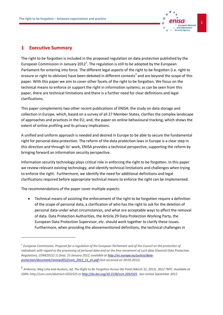

#### <span id="page-5-0"></span>**1 Executive Summary**

The right to be forgotten is included in the proposed regulation on data protection published by the European Commission in January 2012<sup>1</sup>. The regulation is still to be adopted by the European Parliament for entering into force. The different legal aspects of the right to be forgotten (i.e. right to erasure or right to oblivion) have been debated in different contexts<sup>2</sup> and are beyond the scope of this paper. With this paper we aim to cover other facets of the right to be forgotten. We focus on the technical means to enforce or support the right in information systems; as can be seen from this paper, there are technical limitations and there is a further need for clear definitions and legal clarifications.

This paper complements two other recent publications of ENISA: the study on data storage and collection in Europe, which, based on a survey of all 27 Member States, clarifies the complex landscape of approaches and practices in the EU; and, the paper on online behavioural tracking, which shows the extent of online profiling and its privacy implications.

A unified and uniform approach is needed and desired in Europe to be able to secure the fundamental right for personal data protection. The reform of the data protection laws in Europe is a clear step in this direction and through its' work, ENISA provides a technical perspective, supporting the reform by bringing forward an information security perspective.

Information security technology plays critical role in enforcing the right to be forgotten. In this paper we review relevant existing technology, and identify technical limitations and challenges when trying to enforce the right. Furthermore, we identify the need for additional definitions and legal clarifications required before appropriate technical means to enforce the right can be implemented.

The recommendations of the paper cover multiple aspects:

 $\overline{a}$ 

 Technical means of assisting the enforcement of the right to be forgotten require a definition of the scope of personal data, a clarification of who has the right to ask for the deletion of personal data under what circumstances, and what are acceptable ways to affect the removal of data. Data Protection Authorities, the Article 29 Data Protection Working Party, the European Data Protection Supervisor, etc. should work together to clarify these issues. Furthermore, when providing the abovementioned definitions, the technical challenges in

 $^{\text{\tiny{\textup{1}}}}$  European Commission, Proposal for a regulation of the European Parliament and of the Council on the protection of *individuals with regard to the processing of personal data and on the free movement of such data (General Data Protection Regulation), COM(2012) 11 final, 25 January 2012, available a[t http://ec.europa.eu/justice/data](http://ec.europa.eu/justice/data-protection/document/review2012/com_2012_11_en.pdf)[protection/document/review2012/com\\_2012\\_11\\_en.pdf](http://ec.europa.eu/justice/data-protection/document/review2012/com_2012_11_en.pdf) (last accessed on 28.03.2012).*

<sup>2</sup> *Ambrose, Meg Leta and Ausloos, Jef, The Right to Be Forgotten Across the Pond (March 31, 2012). 2012 TRPC. Available at SSRN: http://ssrn.com/abstract=2032325 o[r http://dx.doi.org/10.2139/ssrn.2032325](http://dx.doi.org/10.2139/ssrn.2032325) , last visited September 2012.*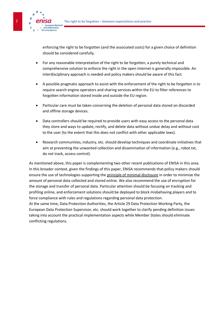

enforcing the right to be forgotten (and the associated costs) for a given choice of definition should be considered carefully.

- For any reasonable interpretation of the right to be forgotten, a purely technical and comprehensive solution to enforce the right in the open Internet is generally impossible. An interdisciplinary approach is needed and policy makers should be aware of this fact.
- A possible pragmatic approach to assist with the enforcement of the right to be forgotten is to require search engine operators and sharing services within the EU to filter references to forgotten information stored inside and outside the EU region.
- Particular care must be taken concerning the deletion of personal data stored on discarded and offline storage devices.
- Data controllers should be required to provide users with easy access to the personal data they store and ways to update, rectify, and delete data without undue delay and without cost to the user (to the extent that this does not conflict with other applicable laws).
- Research communities, industry, etc. should develop techniques and coordinate initiatives that aim at preventing the unwanted collection and dissemination of information (e.g., robot.txt, do not track, access control).

As mentioned above, this paper is complementing two other recent publications of ENISA in this area. In this broader context, given the findings of this paper, ENISA recommends that policy makers should ensure the use of technologies supporting the principle of minimal disclosure in order to minimize the amount of personal data collected and stored online. We also recommend the use of encryption for the storage and transfer of personal data. Particular attention should be focusing on tracking and profiling online, and enforcement solutions should be deployed to block misbehaving players and to force compliance with rules and regulations regarding personal data protection.

At the same time, Data Protection Authorities, the Article 29 Data Protection Working Party, the European Data Protection Supervisor, etc. should work together to clarify pending definition issues taking into account the practical implementation aspects while Member States should eliminate conflicting regulations.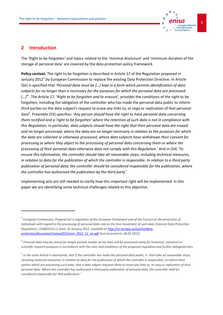

#### <span id="page-7-0"></span>**2 Introduction**

 $\overline{a}$ 

The 'Right to be forgotten' and topics related to the 'minimal disclosure' and 'minimum duration of the storage of personal data' are covered by the data protection policy framework.

**Policy context.** The right to be forgotten is described in Article 17 of the Regulation proposed in January 2012<sup>3</sup> by European Commission to replace the existing Data Protection Directive. In Article 5(e) is specified that '*Personal data must be […] kept in a form which permits identification of data subjects for no longer than is necessary for the purposes for which the personal data are processed […]<sup>4</sup> '.* The Article 17, '*Right to be forgotten and to erasure*'*,* provides the conditions of the right to be forgotten, including the obligation of the controller who has made the personal data public to inform third parties on the data subject's request to erase any links to, or copy or replication of that personal data<sup>5</sup> . Preamble (53) specifies: '*Any person should have the right to have personal data concerning them rectified and a 'right to be forgotten' where the retention of such data is not in compliance with this Regulation. In particular, data subjects should have the right that their personal data are erased and no longer processed, where the data are no longer necessary in relation to the purposes for which the data are collected or otherwise processed, where data subjects have withdrawn their consent for processing or where they object to the processing of personal data concerning them or where the processing of their personal data otherwise does not comply with this Regulation.*' And in (54) *'To ensure this information, the controller should take all reasonable steps, including technical measures, in relation to data for the publication of which the controller is responsible. In relation to a third party publication of personal data, the controller should be considered responsible for the publication, where the controller has authorised the publication by the third party'.* 

Implementing acts are still needed to clarify how this important right will be implemented. In this paper we are identifying some technical challenges related to this objective.

<sup>&</sup>lt;sup>3</sup> European Commission, Proposal for a regulation of the European Parliament and of the Council on the protection of *individuals with regard to the processing of personal data and on the free movement of such data (General Data Protection Regulation), COM(2012) 11 final, 25 January 2012, available a[t http://ec.europa.eu/justice/data](http://ec.europa.eu/justice/data-protection/document/review2012/com_2012_11_en.pdf)[protection/document/review2012/com\\_2012\\_11\\_en.pdf](http://ec.europa.eu/justice/data-protection/document/review2012/com_2012_11_en.pdf) (last accessed on 28.03.2012)* 

*<sup>4</sup> Personal data may be stored for longer periods insofar as the data will be processed solely for historical, statistical or scientific research purposes in accordance with the rules and conditions of the proposed regulation and further delegated acts.*

*<sup>5</sup> In the same Article is mentioned, that if the controller has made the personal data public, it 'shall take all reasonable steps, including technical measures, in relation to data for the publication of which the controller is responsible, to inform third parties which are processing such data, that a data subject requests them to erase any links to, or copy or replication of that personal data. Where the controller has authorised a third party publication of personal data, the controller shall be considered responsible for that publication.'*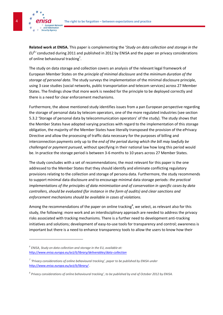

**Related work at ENISA.** This paper is complementing the '*Study on data collection and storage in the EU*<sup>6</sup> *'* conducted during 2011 and published in 2012 by ENISA and the paper on privacy considerations of online behavioural tracking<sup>7</sup>.

The study on data storage and collection covers an analysis of the relevant legal framework of European Member States on the *principle of minimal disclosure* and the *minimum duration of the storage of personal data*. The study surveys the implementation of the minimal disclosure principle, using 3 case studies (social networks, public transportation and telecom services) across 27 Member States. The findings show that more work is needed for the principle to be deployed correctly and there is a need for clear enforcement mechanisms.

Furthermore, the above mentioned study identifies issues from a pan European perspective regarding the storage of personal data by telecom operators, one of the more regulated industries (see section 5.3.2 'Storage of personal data by telecommunication operators' of the study). The study shows that the Member States have adopted varying practices with regard to the implementation of this storage obligation, the majority of the Member States have literally transposed the provision of the ePrivacy Directive and allow the processing of traffic data necessary for the purposes of billing and interconnection payments only up to the *end of the period during which the bill may lawfully be challenged or payment pursued*, without specifying in their national law how long this period would be. In practice the storage period is between 3-6 months to 10 years across 27 Member States.

The study concludes with a set of recommendations; the most relevant for this paper is the one addressed to the Member States that they should identify and eliminate conflicting regulatory provisions relating to the collection and storage of persona data. Furthermore, the study recommends to support minimal data disclosure and to encourage minimal data storage periods: *the practical implementations of the principles of data minimisation and of conservation in specific cases by data controllers, should be evaluated (for instance in the form of audits) and clear sanctions and enforcement mechanisms should be available in cases of violations.*

Among the recommendations of the paper on online tracking<sup>8</sup>, we select, as relevant also for this study, the following: more work and an interdisciplinary approach are needed to address the privacy risks associated with tracking mechanisms. There is a further need to development anti-tracking initiatives and solutions; development of easy-to-use tools for transparency and control; awareness is important but there is a need to enhance transparency tools to allow the users to know how their

 $\overline{a}$ 

*<sup>6</sup> ENISA, Study on data collection and storage in the EU, available at: <http://www.enisa.europa.eu/act/it/library/deliverables/data-collection>*

*<sup>7</sup> 'Privacy considerations of online behavioural tracking', paper to be published by ENISA under <http://www.enisa.europa.eu/act/it/library/> .*

*<sup>8</sup> Privacy considerations of online behavioural tracking', to be published by end of October 2012 by ENISA.*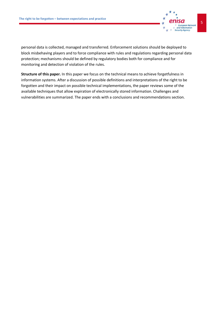

personal data is collected, managed and transferred. Enforcement solutions should be deployed to block misbehaving players and to force compliance with rules and regulations regarding personal data protection; mechanisms should be defined by regulatory bodies both for compliance and for monitoring and detection of violation of the rules.

**Structure of this paper.** In this paper we focus on the technical means to achieve forgetfulness in information systems. After a discussion of possible definitions and interpretations of the right to be forgotten and their impact on possible technical implementations, the paper reviews some of the available techniques that allow expiration of electronically stored information. Challenges and vulnerabilities are summarized. The paper ends with a conclusions and recommendations section.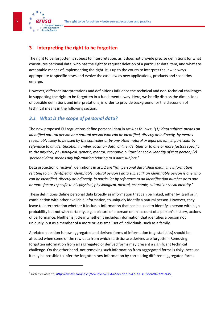6 **The right to be forgotten – between expectations and practice**



 $\overline{a}$ 

# <span id="page-10-0"></span>**3 Interpreting the right to be forgotten**

The right to be forgotten is subject to interpretation, as it does not provide precise definitions for what constitutes personal data, who has the right to request deletion of a particular data item, and what are acceptable means of implementing the right. It is up to the courts to interpret the law in ways appropriate to specific cases and evolve the case law as new applications, products and scenarios emerge.

However, different interpretations and definitions influence the technical and non-technical challenges in supporting the right to be forgotten in a fundamental way. Here, we briefly discuss the dimensions of possible definitions and interpretations, in order to provide background for the discussion of technical means in the following section.

# <span id="page-10-1"></span>*3.1 What is the scope of personal data?*

The new proposed EU regulations define personal data in art 4 as follows: *"(1) 'data subject' means an identified natural person or a natural person who can be identified, directly or indirectly, by means reasonably likely to be used by the controller or by any other natural or legal person, in particular by reference to an identification number, location data, online identifier or to one or more factors specific to the physical, physiological, genetic, mental, economic, cultural or social identity of that person; (2) 'personal data' means any information relating to a data subject."*

Data protection directive<sup>9</sup>, definitions in art. 2 are "(a) 'personal data' shall mean any information *relating to an identified or identifiable natural person ('data subject'); an identifiable person is one who can be identified, directly or indirectly, in particular by reference to an identification number or to one or more factors specific to his physical, physiological, mental, economic, cultural or social identity.*"

These definitions define personal data broadly as information that can be linked, either by itself or in combination with other available information, to uniquely identify a natural person. However, they leave to interpretation whether it includes information that can be used to identify a person with high probability but not with certainty, e.g. a picture of a person or an account of a person's history, actions of performance. Neither is it clear whether it includes information that identifies a person not uniquely, but as a member of a more or less small set of individuals, such as a family.

A related question is how aggregated and derived forms of information (e.g. statistics) should be affected when some of the raw data from which statistics are derived are forgotten. Removing forgotten information from all aggregated or derived forms may present a significant technical challenge. On the other hand, not removing such information from aggregated forms is risky, because it may be possible to infer the forgotten raw information by correlating different aggregated forms.

*<sup>9</sup> DPD available at:<http://eur-lex.europa.eu/LexUriServ/LexUriServ.do?uri=CELEX:31995L0046:EN:HTML>*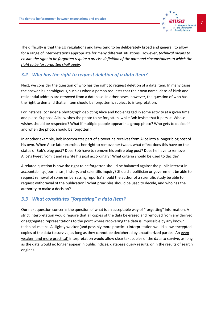

The difficulty is that the EU regulations and laws tend to be deliberately broad and general, to allow for a range of interpretations appropriate for many different situations. However, *technical means to ensure the right to be forgotten require a precise definition of the data and circumstances to which the right to be for forgotten shall apply*.

## <span id="page-11-0"></span>*3.2 Who has the right to request deletion of a data item?*

Next, we consider the question of who has the right to request deletion of a data item. In many cases, the answer is unambiguous, such as when a person requests that their own name, date-of-birth and residential address are removed from a database. In other cases, however, the question of who has the right to demand that an item should be forgotten is subject to interpretation.

For instance, consider a photograph depicting Alice and Bob engaged in some activity at a given time and place. Suppose Alice wishes the photo to be forgotten, while Bob insists that it persist. Whose wishes should be respected? What if multiple people appear in a group photo? Who gets to decide if and when the photo should be forgotten?

In another example, Bob incorporates part of a tweet he receives from Alice into a longer blog post of his own. When Alice later exercises her right to remove her tweet, what effect does this have on the status of Bob's blog post? Does Bob have to remove his entire blog post? Does he have to remove Alice's tweet from it and rewrite his post accordingly? What criteria should be used to decide?

A related question is how the right to be forgotten should be balanced against the public interest in accountability, journalism, history, and scientific inquiry? Should a politician or government be able to request removal of some embarrassing reports? Should the author of a scientific study be able to request withdrawal of the publication? What principles should be used to decide, and who has the authority to make a decision?

## <span id="page-11-1"></span>*3.3 What constitutes "forgetting" a data item?*

Our next question concerns the question of what is an acceptable way of "forgetting" information. A strict interpretation would require that all copies of the data be erased and removed from any derived or aggregated representations to the point where recovering the data is impossible by any known technical means. A slightly weaker (and possibly more practical) interpretation would allow encrypted copies of the data to survive, as long as they cannot be deciphered by unauthorized parties. An even weaker (and more practical) interpretation would allow clear text copies of the data to survive, as long as the data would no longer appear in public indices, database query results, or in the results of search engines.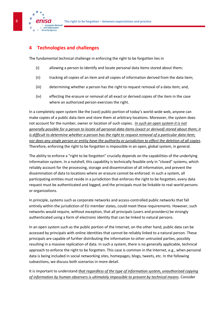

## <span id="page-12-0"></span>**4 Technologies and challenges**

The fundamental technical challenge in enforcing the right to be forgotten lies in

- (i) allowing a person to identify and locate personal data items stored about them;
- (ii) tracking all copies of an item and all copies of information derived from the data item;
- (iii) determining whether a person has the right to request removal of a data item; and,
- (iv) effecting the erasure or removal of all exact or derived copies of the item in the case where an authorized person exercises the right.

In a completely open system like the (vast) public portion of today's world-wide web, anyone can make copies of a public data item and store them at arbitrary locations. Moreover, the system does not account for the number, owner or location of such copies. *In such an open system it is not generally possible for a person to locate all personal data items (exact or derived) stored about them; it is difficult to determine whether a person has the right to request removal of a particular data item; nor does any single person or entity have the authority or jurisdiction to effect the deletion of all copies*. Therefore, enforcing the right to be forgotten is impossible in an open, global system, in general.

The ability to enforce a "right to be forgotten" crucially depends on the capabilities of the underlying information system. In a nutshell, this capability is technically feasible only in "closed" systems, which reliably account for the processing, storage and dissemination of all information, and prevent the dissemination of data to locations where an erasure cannot be enforced. In such a system, all participating entities must reside in a jurisdiction that enforces the right to be forgotten, every data request must be authenticated and logged, and the principals must be linkable to real-world persons or organizations.

In principle, systems such as corporate networks and access-controlled public networks that fall entirely within the jurisdiction of EU member states, could meet these requirements. However, such networks would require, without exception, that all principals (users and providers) be strongly authenticated using a form of electronic identity that can be linked to natural persons.

In an open system such as the public portion of the Internet, on the other hand, public data can be accessed by principals with online identities that cannot be reliably linked to a natural person. These principals are capable of further distributing the information to other untrusted parties, possibly resulting in a massive replication of data. In such a system, there is no generally applicable, technical approach to enforce the right to be forgotten. This case is common in the Internet, e.g., when personal data is being included in social networking sites, homepages, blogs, tweets, etc. In the following subsections, we discuss both scenarios in more detail.

It is important to understand *that regardless of the type of information system, unauthorized copying of information by human observers is ultimately impossible to prevent by technical means*. Consider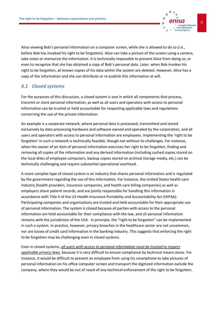Alice viewing Bob's personal information on a computer screen, while she is allowed to do so (i.e., before Bob has invoked his right to be forgotten). Alice can take a picture of the screen using a camera, take notes or memorize the information. It is technically impossible to prevent Alice from doing so, or even to recognize that she has obtained a copy of Bob's personal data. Later, when Bob invokes his right to be forgotten, all known copies of his data within the system are deleted. However, Alice has a copy of the information and she can distribute or re-publish this information at will.

### <span id="page-13-0"></span>*4.1 Closed systems*

For the purposes of this discussion, a closed system is one in which all components that process, transmit or store personal information, as well as all users and operators with access to personal information can be trusted or held accountable for respecting applicable laws and regulations concerning the use of the private information.

An example is a corporate network, where personal data is processed, transmitted and stored exclusively by data processing hardware and software owned and operated by the corporation, and all users and operators with access to personal information are employees. Implementing the 'right to be forgotten' in such a network is technically feasible, though not without its challenges. For instance, when the owner of an item of personal information exercises her right to be forgotten, finding and removing all copies of the information and any derived information (including cached copies stored on the local disks of employee computers, backup copies stored on archival storage media, etc.) can be technically challenging and require substantial operational overhead.

A more complex type of closed system is an industry that shares personal information and is regulated by the government regarding the use of this information. For instance, the United States health care industry (health providers, insurance companies, and health care billing companies) as well as employers share patient records, and are jointly responsible for handling this information in accordance with Title II of the US Health Insurance Portability and Accountability Act (HIPAA). Participating companies and organizations are trusted and held accountable for their appropriate use of personal information. The system is closed because all parties with access to the personal information are held accountable for their compliance with the law, and all personal information remains with the jurisdiction of the USA. In principle, the "right to be forgotten" can be implemented in such a system. In practice, however, privacy breaches in the healthcare sector are not uncommon, nor are losses of credit card information in the banking industry. This suggests that enforcing the right to be forgotten may be challenging even in closed systems.

Even in closed systems, *all users with access to personal information must be trusted to respect applicable privacy laws,* because it is very difficult to ensure compliance by technical means alone. For instance, it would be difficult to prevent an employee from using his smartphone to take pictures of personal information on his office computer screen and transport the digitized information outside the company, where they would be out of reach of any technical enforcement of the right to be forgotten.

European Network and Information **Security Agency**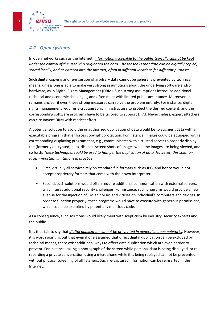<span id="page-14-0"></span>

**European Network** and Information curity Agency

In open networks such as the Internet, *information accessible to the public typically cannot be kept under the control of the user who originated the data. The reason is that data can be digitally copied, stored locally, and re-entered into the Internet, often in different locations for different purposes*.

Such digital copying and re-insertion of arbitrary data cannot be generally prevented by technical means, unless one is able to make very strong assumptions about the underlying software and/or hardware, as in Digital Rights Management (DRM). Such strong assumptions introduce additional technical and economic challenges, and often meet with limited public acceptance. Moreover, it remains unclear if even these strong measures can solve the problem entirely. For instance, digital rights management requires a cryptographic infrastructure to protect the desired content, and the corresponding software programs have to be tailored to support DRM. Nevertheless, expert attackers can circumvent DRM with modest effort.

A potential solution to avoid the unauthorized duplication of data would be to augment data with an executable program that enforces copyright protection. For instance, images could be equipped with a corresponding displaying program that, e.g., communicates with a trusted server to properly display the (formerly encrypted) data, disables screen shots of images while the images are being viewed, and so forth. *These techniques could be used to hamper the duplication of data. However, this solution faces important limitations in practice:*

- First, virtually all services rely on standard file formats such as JPG, and hence would not accept proprietary formats that come with their own interpreter.
- Second, such solutions would often require additional communication with external servers, which raises additional security challenges. For instance, such programs would provide a new avenue for the injection of Trojan horses and viruses on individual's computers and devices. In order to function properly, these programs would have to execute with generous permissions, which could be exploited by potentially malicious code.

As a consequence, such solutions would likely meet with scepticism by industry, security experts and the public.

It is thus fair to say that *digital duplication cannot be prevented in general in open networks*. However, it is worth pointing out that even if one assumed that direct digital duplication can be excluded by technical means, there exist additional ways to effect data duplication which are even harder to prevent. For instance, taking a photograph of the screen while personal data is being displayed, or rerecording a private conversation using a microphone while it is being replayed cannot be prevented without physical screening of all listeners. Such re-captured information can be reinserted in the Internet.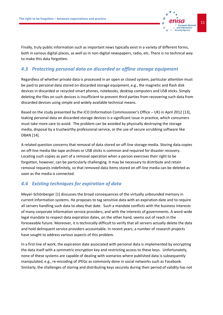

Finally, truly public information such as important news typically exist in a variety of different forms, both in various digital places, as well as in non-digital newspapers, radio, etc. There is no technical way to make this data forgotten.

### <span id="page-15-0"></span>*4.3 Protecting personal data on discarded or offline storage equipment*

Regardless of whether private data is processed in an open or closed system, particular attention must be paid to personal data stored on discarded storage equipment, e.g., the magnetic and flash disk devices in discarded or recycled smart phones, notebooks, desktop computers and USB sticks. Simply deleting the files on such devices is insufficient to prevent third parties from recovering such data from discarded devices using simple and widely available technical means.

Based on the study presented by the ICO (Information Commissioner's Office – UK) in April 2012 [13], leaking personal data on discarded storage devices is a significant issue in practice, which consumers must take more care to avoid. The problem can be avoided by physically destroying the storage media, disposal by a trustworthy professional service, or the use of secure scrubbing software like DBAN [14].

A related question concerns that removal of data stored on off-line storage media. Storing data copies on off-line media like tape archives or USB sticks is common and required for disaster recovery. Locating such copies as part of a removal operation when a person exercises their right to be forgotten, however, can be particularly challenging. It may be necessary to distribute and retain removal requests indefinitely, so that removed data items stored on off-line media can be deleted as soon as the media is connected.

### <span id="page-15-1"></span>*4.4 Existing techniques for expiration of data*

Meyer-Schönberger [1] discusses the broad consequences of the virtually unbounded memory in current information systems. He proposes to tag sensitive data with an expiration date and to require all servers handling such data to obey that date. Such a mandate conflicts with the business interests of many corporate information service providers, and with the interests of governments. A word-wide legal mandate to respect data expiration dates, on the other hand, seems out of reach in the foreseeable future. Moreover, it is technically difficult to verify that all servers actually delete the data and hold delinquent service providers accountable. In recent years, a number of research projects have sought to address various aspects of this problem.

In a first line of work, the expiration date associated with personal data is implemented by encrypting the data itself with a symmetric encryption key and restricting access to these keys. Unfortunately, none of these systems are capable of dealing with scenarios where published data is subsequently manipulated, e.g., re-encoding of JPEGs as commonly done in social networks such as Facebook. Similarly, the challenges of storing and distributing keys securely during their period of validity has not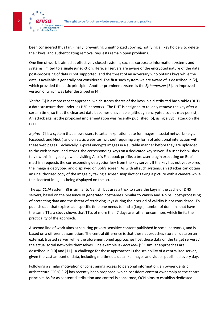

been considered thus far. Finally, preventing unauthorized copying, notifying all key holders to delete their keys, and authenticating removal requests remain open problems.

One line of work is aimed at effectively closed systems, such as corporate information systems and systems limited to a single jurisdiction. Here, all servers are aware of the encrypted nature of the data, post-processing of data is not supported, and the threat of an adversary who obtains keys while the data is available is generally not considered. The first such system we are aware of is described in [2], which provided the basic principle. Another prominent system is the *Ephemerizer* [3], an improved version of which was later described in [4].

*Vanish* [5] is a more recent approach, which stores shares of the keys in a distributed hash table (DHT), a data structure that underlies P2P networks. The DHT is designed to reliably remove the key after a certain time, so that the cleartext data becomes unavailable (although encrypted copies may persist). An attack against the proposed implementation was recently published [6], using a Sybil attack on the DHT.

*X-pire!* [7] is a system that allows users to set an expiration date for images in social networks (e.g., Facebook and Flickr) and on static websites, without requiring any form of additional interaction with these web pages. Technically, X-pire! encrypts images in a suitable manner before they are uploaded to the web server, and stores the corresponding keys on a dedicated key server. If a user Bob wishes to view this image, e.g., while visiting Alice's Facebook profile, a browser plugin executing on Bob's machine requests the corresponding decryption key from the key server. If the key has not yet expired, the image is decrypted and displayed on Bob's screen. As with all such systems, an attacker can obtain an unauthorized copy of the image by taking a screen snapshot or taking a picture with a camera while the cleartext image is being displayed on the screen.

The *EphCOM* system [8] is similar to Vanish, but uses a trick to store the keys in the cache of DNS servers, based on the presence of generated hostnames. Similar to Vanish and X-pire!, post-processing of protecting data and the threat of retrieving keys during their period of validity is not considered. To publish data that expires at a specific time one needs to find a (large) number of domains that have the same TTL; a study shows that TTLs of more than 7 days are rather uncommon, which limits the practicality of the approach.

A second line of work aims at securing privacy-sensitive content published in social networks, and is based on a different assumption: The central difference is that these approaches store all data on an external, trusted server, while the aforementioned approaches host these data on the target servers / the actual social networks themselves. One example is *FaceCloak* [9]; similar approaches are described in [10] and [11]. A challenge for these approaches is the scalability of a centralized server, given the vast amount of data, including multimedia data like images and videos published every day.

Following a similar motivation of constraining access to personal information, an owner-centric architecture (OCN) [12] has recently been proposed, which considers content ownership as the central principle. As far as content distribution and control is concerned, OCN aims to establish dedicated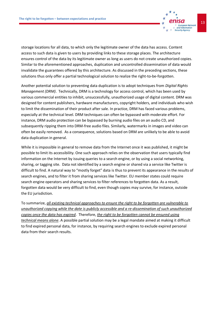

Another potential solution to preventing data duplication is to adopt techniques from *Digital Rights Management (DRM)*. Technically, DRM is a technology for access control, which has been used by various commercial entities to inhibit, unsuccessfully, unauthorized usage of digital content. DRM was designed for content publishers, hardware manufacturers, copyright holders, and individuals who wish to limit the dissemination of their product after sale. In practice, DRM has faced various problems, especially at the technical level. DRM techniques can often be bypassed with moderate effort. For instance, DRM audio protection can be bypassed by burning audio files on an audio CD, and subsequently ripping them into DRM-free audio files. Similarly, watermarks in images and video can often be easily removed. As a consequence, solutions based on DRM are unlikely to be able to avoid data duplication in general.

While it is impossible in general to remove data from the Internet once it was published, it might be possible to limit its accessibility. One such approach relies on the observation that users typically find information on the Internet by issuing queries to a search engine, or by using a social networking, sharing, or tagging site. Data not identified by a search engine or shared via a service like Twitter is difficult to find. A natural way to "mostly forget" data is thus to prevent its appearance in the results of search engines, and to filter it from sharing services like Twitter. EU member states could require search engine operators and sharing services to filter references to forgotten data. As a result, forgotten data would be very difficult to find, even though copies may survive, for instance, outside the EU jurisdiction.

To summarize, *all existing technical approaches to ensure the right to be forgotten are vulnerable to unauthorized copying while the date is publicly accessible and a re-dissemination of such unauthorized copies once the data has expired*. Therefore, *the right to be forgotten cannot be ensured using technical means alone*. A possible partial solution may be a legal mandate aimed at making it difficult to find expired personal data, for instance, by requiring search engines to exclude expired personal data from their search results.

European Network and Information **Security Agency**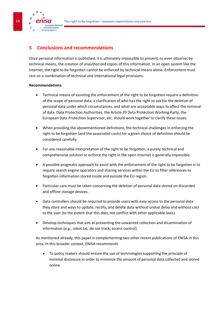**14 The right to be forgotten** *–* **between expectations and practice** 

## <span id="page-18-0"></span>**5 Conclusions and recommendations**

Once personal information is published, it is ultimately impossible to prevent, or even observe, by technical means, the creation of unauthorized copies of this information. In an open system like the Internet, the right to be forgotten cannot be enforced by technical means alone. Enforcement must rest on a combination of technical and international legal provisions.

#### **Recommendations:**

**European Network** and Information curity Agency

- Technical means of assisting the enforcement of the right to be forgotten require a definition of the scope of personal data, a clarification of who has the right to ask for the deletion of personal data under which circumstances, and what are acceptable ways to affect the removal of data. Data Protection Authorities, the Article 29 Data Protection Working Party, the European Data Protection Supervisor, etc. should work together to clarify these issues.
- When providing the abovementioned definitions, the technical challenges in enforcing the right to be forgotten (and the associated costs) for a given choice of definition should be considered carefully.
- For any reasonable interpretation of the right to be forgotten, a purely technical and comprehensive solution to enforce the right in the open Internet is generally impossible.
- A possible pragmatic approach to assist with the enforcement of the right to be forgotten is to require search engine operators and sharing services within the EU to filter references to forgotten information stored inside and outside the EU region.
- Particular care must be taken concerning the deletion of personal data stored on discarded and offline storage devices.
- Data controllers should be required to provide users with easy access to the personal data they store and ways to update, rectify, and delete data without undue delay and without cost to the user (to the extent that this does not conflict with other applicable laws).
- Develop techniques that aim at preventing the unwanted collection and dissemination of information (e.g., robot.txt, do not track, access control).

As mentioned already, this paper is complementing two other recent publications of ENISA in this area. In this broader context, ENISA recommends

 To policy makers should ensure the use of technologies supporting the principle of minimal disclosure in order to minimize the amount of personal data collected and stored online.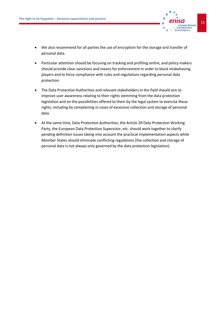

- We also recommend for all parties the use of encryption for the storage and transfer of personal data.
- Particular attention should be focusing on tracking and profiling online, and policy makers should provide clear sanctions and means for enforcement in order to block misbehaving players and to force compliance with rules and regulations regarding personal data protection.
- The Data Protection Authorities and relevant stakeholders in the field should aim to improve user awareness relating to their rights stemming from the data protection legislation and on the possibilities offered to them by the legal system to exercise these rights, including by complaining in cases of excessive collection and storage of personal data.
- At the same time, Data Protection Authorities, the Article 29 Data Protection Working Party, the European Data Protection Supervisor, etc. should work together to clarify pending definition issues taking into account the practical implementation aspects while Member States should eliminate conflicting regulations (the collection and storage of personal data is not always only governed by the data protection legislation).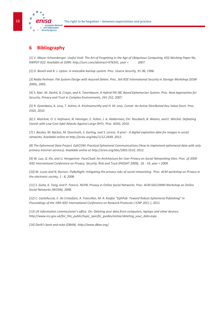

## <span id="page-20-0"></span>**6 Bibliography**

*[1] V. Mayer-Schoenberger. Useful Void: The Art of Forgetting in the Age of Ubiquitous Computing, KSG Working Paper No. RWP07-022. Available at SSRN[: http://ssrn.com/abstract=976541,](http://ssrn.com/abstract=976541) year = 2007.*

*[2] D. Boneh and R. J. Lipton. A revocable backup system. Proc. Usenix Security, 91-96, 1996.*

*[3] Radia Perlman. File System Design with Assured Delete. Proc. 3rd IEEE International Security in Storage Workshop (SISW 2005), 2005.*

*[4] S. Nair, M. Dashti, B. Crispo, and A. Tanenbaum. A Hybrid PKI-IBC Based Ephemerizer System. Proc. New Approaches for Security, Privacy and Trust in Complex Environments, 241-252, 2007.*

*[5] R. Geambasu, A. Levy, T. Kohno, A. Krishnamurthy and H. M. Levy. Comet: An Active Distributed Key-Value Store. Proc. OSDI, 2010.*

*[6] S. Wolchok, O. S. Hofmann, N. Heninger, E. Felten, J. A. Halderman, Chr. Rossbach, B. Waters, and E. Witchel. Defeating Vanish with Low-Cost Sybil Attacks Against Large DHTs. Proc. NDSS, 2010.*

*[7] J. Backes, M. Backes, M. Duermuth, S. Gerling, and S. Lorenz. X-pire! - A digital expiration date for images in social networks. Available online a[t http://arxiv.org/abs/1112.2649,](http://arxiv.org/abs/1112.2649) 2012.*

*[8] The Ephemeral Data Project. EphCOM: Practical Ephemeral Communications (How to implement ephemeral data with only primary Internet services). Available online at [http://arxiv.org/abs/1003.5510,](http://arxiv.org/abs/1003.5510) 2012.*

*[9] W. Luo, Q. Xie, and U. Hengartner. FaceCloak: An Architecture for User Privacy on Social Networking Sites. Proc. of 2009 IEEE International Conference on Privacy, Security, Risk and Trust (PASSAT 2009), 26 - 33, year = 2009.*

*[10] M. Lucas and N. Borisov. FlyByNight: mitigating the privacy risks of social networking. Proc. ACM workshop on Privacy in the electronic society, 1 - 8, 2008.*

*[11] S. Guha, K. Tang, and P. Francis. NOYB: Privacy in Online Social Networks. Proc. ACM SIGCOMM Workshop on Online Social Networks (WOSN), 2008.*

*[12] C. Castelluccia, E. De Cristofaro, A. Francillon, M. A. Kaafar "EphPub: Toward Robust Ephemeral Publishing" In Proceedings of the 19th IEEE International Conference on Network Protocols ( ICNP 2011 ), 2011.*

*[13] UK Information commissioner's office. On: Deleting your data from computers, laptops and other devices. [http://www.ico.gov.uk/for\\_the\\_public/topic\\_specific\\_guides/online/deleting\\_your\\_data.aspx](http://www.ico.gov.uk/for_the_public/topic_specific_guides/online/deleting_your_data.aspx)*

*[14] Darik's boot and nuke (DBAN). <http://www.dban.org/>*